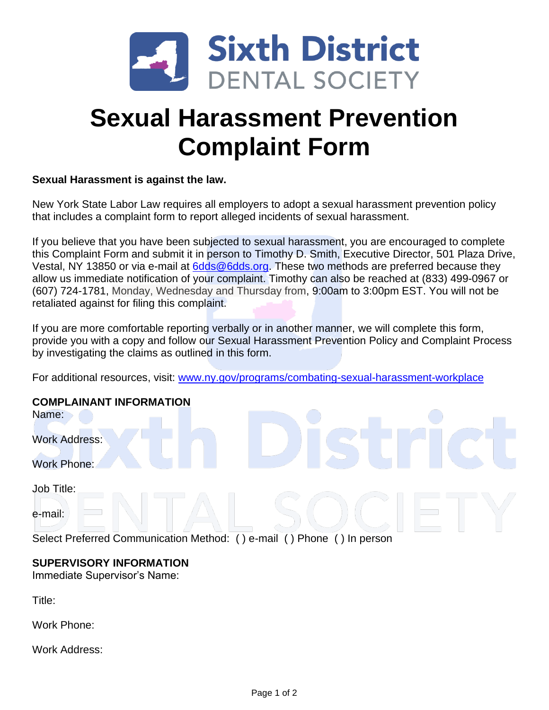

# **Sexual Harassment Prevention Complaint Form**

### **Sexual Harassment is against the law.**

New York State Labor Law requires all employers to adopt a sexual harassment prevention policy that includes a complaint form to report alleged incidents of sexual harassment.

If you believe that you have been subjected to sexual harassment, you are encouraged to complete this Complaint Form and submit it in person to Timothy D. Smith, Executive Director, 501 Plaza Drive, Vestal, NY 13850 or via e-mail at [6dds@6dds.org.](mailto:6dds@6dds.org) These two methods are preferred because they allow us immediate notification of your complaint. Timothy can also be reached at (833) 499-0967 or (607) 724-1781, Monday, Wednesday and Thursday from, 9:00am to 3:00pm EST. You will not be retaliated against for filing this complaint.

If you are more comfortable reporting verbally or in another manner, we will complete this form, provide you with a copy and follow our Sexual Harassment Prevention Policy and Complaint Process by investigating the claims as outlined in this form.

For additional resources, visit: [www.ny.gov/programs/combating-sexual-harassment-workplace](http://www.ny.gov/programs/combating-sexual-harassment-workplace)

### **COMPLAINANT INFORMATION**

Name:

Work Address:

Work Phone:

Job Title:

e-mail:

Select Preferred Communication Method: ( ) e-mail ( ) Phone ( ) In person

### **SUPERVISORY INFORMATION**

Immediate Supervisor's Name:

Title:

Work Phone:

Work Address: